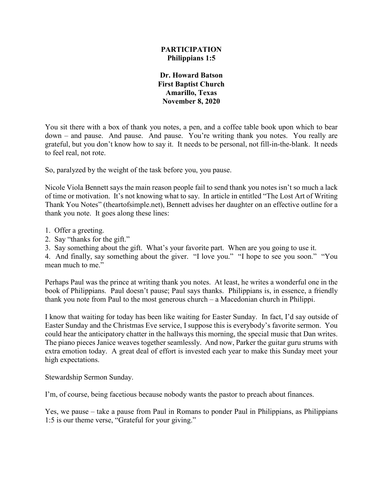## **PARTICIPATION Philippians 1:5**

**Dr. Howard Batson First Baptist Church Amarillo, Texas November 8, 2020**

You sit there with a box of thank you notes, a pen, and a coffee table book upon which to bear down – and pause. And pause. And pause. You're writing thank you notes. You really are grateful, but you don't know how to say it. It needs to be personal, not fill-in-the-blank. It needs to feel real, not rote.

So, paralyzed by the weight of the task before you, you pause.

Nicole Viola Bennett says the main reason people fail to send thank you notes isn't so much a lack of time or motivation. It's not knowing what to say. In article in entitled "The Lost Art of Writing Thank You Notes" (theartofsimple.net), Bennett advises her daughter on an effective outline for a thank you note. It goes along these lines:

- 1. Offer a greeting.
- 2. Say "thanks for the gift."
- 3. Say something about the gift. What's your favorite part. When are you going to use it.

4. And finally, say something about the giver. "I love you." "I hope to see you soon." "You mean much to me."

Perhaps Paul was the prince at writing thank you notes. At least, he writes a wonderful one in the book of Philippians. Paul doesn't pause; Paul says thanks. Philippians is, in essence, a friendly thank you note from Paul to the most generous church – a Macedonian church in Philippi.

I know that waiting for today has been like waiting for Easter Sunday. In fact, I'd say outside of Easter Sunday and the Christmas Eve service, I suppose this is everybody's favorite sermon. You could hear the anticipatory chatter in the hallways this morning, the special music that Dan writes. The piano pieces Janice weaves together seamlessly. And now, Parker the guitar guru strums with extra emotion today. A great deal of effort is invested each year to make this Sunday meet your high expectations.

Stewardship Sermon Sunday.

I'm, of course, being facetious because nobody wants the pastor to preach about finances.

Yes, we pause – take a pause from Paul in Romans to ponder Paul in Philippians, as Philippians 1:5 is our theme verse, "Grateful for your giving."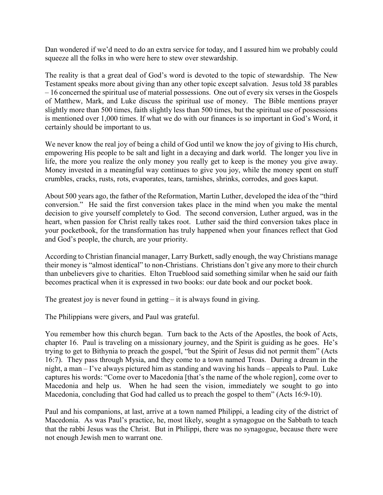Dan wondered if we'd need to do an extra service for today, and I assured him we probably could squeeze all the folks in who were here to stew over stewardship.

The reality is that a great deal of God's word is devoted to the topic of stewardship. The New Testament speaks more about giving than any other topic except salvation. Jesus told 38 parables – 16 concerned the spiritual use of material possessions. One out of every six verses in the Gospels of Matthew, Mark, and Luke discuss the spiritual use of money. The Bible mentions prayer slightly more than 500 times, faith slightly less than 500 times, but the spiritual use of possessions is mentioned over 1,000 times. If what we do with our finances is so important in God's Word, it certainly should be important to us.

We never know the real joy of being a child of God until we know the joy of giving to His church, empowering His people to be salt and light in a decaying and dark world. The longer you live in life, the more you realize the only money you really get to keep is the money you give away. Money invested in a meaningful way continues to give you joy, while the money spent on stuff crumbles, cracks, rusts, rots, evaporates, tears, tarnishes, shrinks, corrodes, and goes kaput.

About 500 years ago, the father of the Reformation, Martin Luther, developed the idea of the "third conversion." He said the first conversion takes place in the mind when you make the mental decision to give yourself completely to God. The second conversion, Luther argued, was in the heart, when passion for Christ really takes root. Luther said the third conversion takes place in your pocketbook, for the transformation has truly happened when your finances reflect that God and God's people, the church, are your priority.

According to Christian financial manager, Larry Burkett, sadly enough, the way Christians manage their money is "almost identical" to non-Christians. Christians don't give any more to their church than unbelievers give to charities. Elton Trueblood said something similar when he said our faith becomes practical when it is expressed in two books: our date book and our pocket book.

The greatest joy is never found in getting  $-$  it is always found in giving.

The Philippians were givers, and Paul was grateful.

You remember how this church began. Turn back to the Acts of the Apostles, the book of Acts, chapter 16. Paul is traveling on a missionary journey, and the Spirit is guiding as he goes. He's trying to get to Bithynia to preach the gospel, "but the Spirit of Jesus did not permit them" (Acts 16:7). They pass through Mysia, and they come to a town named Troas. During a dream in the night, a man – I've always pictured him as standing and waving his hands – appeals to Paul. Luke captures his words: "Come over to Macedonia [that's the name of the whole region], come over to Macedonia and help us. When he had seen the vision, immediately we sought to go into Macedonia, concluding that God had called us to preach the gospel to them" (Acts 16:9-10).

Paul and his companions, at last, arrive at a town named Philippi, a leading city of the district of Macedonia. As was Paul's practice, he, most likely, sought a synagogue on the Sabbath to teach that the rabbi Jesus was the Christ. But in Philippi, there was no synagogue, because there were not enough Jewish men to warrant one.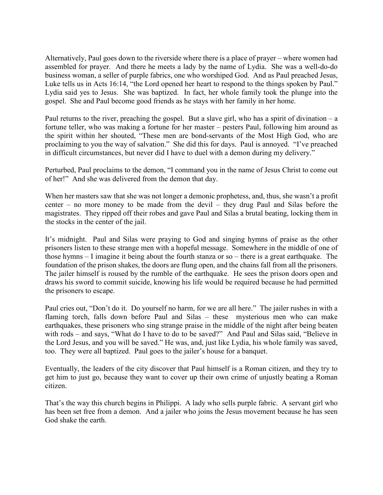Alternatively, Paul goes down to the riverside where there is a place of prayer – where women had assembled for prayer. And there he meets a lady by the name of Lydia. She was a well-do-do business woman, a seller of purple fabrics, one who worshiped God. And as Paul preached Jesus, Luke tells us in Acts 16:14, "the Lord opened her heart to respond to the things spoken by Paul." Lydia said yes to Jesus. She was baptized. In fact, her whole family took the plunge into the gospel. She and Paul become good friends as he stays with her family in her home.

Paul returns to the river, preaching the gospel. But a slave girl, who has a spirit of divination – a fortune teller, who was making a fortune for her master – pesters Paul, following him around as the spirit within her shouted, "These men are bond-servants of the Most High God, who are proclaiming to you the way of salvation." She did this for days. Paul is annoyed. "I've preached in difficult circumstances, but never did I have to duel with a demon during my delivery."

Perturbed, Paul proclaims to the demon, "I command you in the name of Jesus Christ to come out of her!" And she was delivered from the demon that day.

When her masters saw that she was not longer a demonic prophetess, and, thus, she wasn't a profit center – no more money to be made from the devil – they drug Paul and Silas before the magistrates. They ripped off their robes and gave Paul and Silas a brutal beating, locking them in the stocks in the center of the jail.

It's midnight. Paul and Silas were praying to God and singing hymns of praise as the other prisoners listen to these strange men with a hopeful message. Somewhere in the middle of one of those hymns – I imagine it being about the fourth stanza or so – there is a great earthquake. The foundation of the prison shakes, the doors are flung open, and the chains fall from all the prisoners. The jailer himself is roused by the rumble of the earthquake. He sees the prison doors open and draws his sword to commit suicide, knowing his life would be required because he had permitted the prisoners to escape.

Paul cries out, "Don't do it. Do yourself no harm, for we are all here." The jailer rushes in with a flaming torch, falls down before Paul and Silas – these mysterious men who can make earthquakes, these prisoners who sing strange praise in the middle of the night after being beaten with rods – and says, "What do I have to do to be saved?" And Paul and Silas said, "Believe in the Lord Jesus, and you will be saved." He was, and, just like Lydia, his whole family was saved, too. They were all baptized. Paul goes to the jailer's house for a banquet.

Eventually, the leaders of the city discover that Paul himself is a Roman citizen, and they try to get him to just go, because they want to cover up their own crime of unjustly beating a Roman citizen.

That's the way this church begins in Philippi. A lady who sells purple fabric. A servant girl who has been set free from a demon. And a jailer who joins the Jesus movement because he has seen God shake the earth.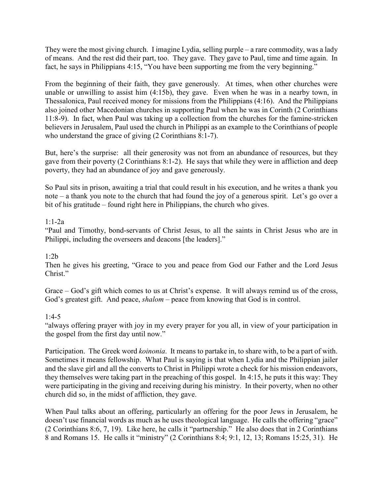They were the most giving church. I imagine Lydia, selling purple – a rare commodity, was a lady of means. And the rest did their part, too. They gave. They gave to Paul, time and time again. In fact, he says in Philippians 4:15, "You have been supporting me from the very beginning."

From the beginning of their faith, they gave generously. At times, when other churches were unable or unwilling to assist him (4:15b), they gave. Even when he was in a nearby town, in Thessalonica, Paul received money for missions from the Philippians (4:16). And the Philippians also joined other Macedonian churches in supporting Paul when he was in Corinth (2 Corinthians 11:8-9). In fact, when Paul was taking up a collection from the churches for the famine-stricken believers in Jerusalem, Paul used the church in Philippi as an example to the Corinthians of people who understand the grace of giving (2 Corinthians 8:1-7).

But, here's the surprise: all their generosity was not from an abundance of resources, but they gave from their poverty (2 Corinthians 8:1-2). He says that while they were in affliction and deep poverty, they had an abundance of joy and gave generously.

So Paul sits in prison, awaiting a trial that could result in his execution, and he writes a thank you note – a thank you note to the church that had found the joy of a generous spirit. Let's go over a bit of his gratitude – found right here in Philippians, the church who gives.

## 1:1-2a

"Paul and Timothy, bond-servants of Christ Jesus, to all the saints in Christ Jesus who are in Philippi, including the overseers and deacons [the leaders]."

## 1:2b

Then he gives his greeting, "Grace to you and peace from God our Father and the Lord Jesus Christ."

Grace – God's gift which comes to us at Christ's expense. It will always remind us of the cross, God's greatest gift. And peace, *shalom* – peace from knowing that God is in control.

## 1:4-5

"always offering prayer with joy in my every prayer for you all, in view of your participation in the gospel from the first day until now."

Participation. The Greek word *koinonia*. It means to partake in, to share with, to be a part of with. Sometimes it means fellowship. What Paul is saying is that when Lydia and the Philippian jailer and the slave girl and all the converts to Christ in Philippi wrote a check for his mission endeavors, they themselves were taking part in the preaching of this gospel. In 4:15, he puts it this way: They were participating in the giving and receiving during his ministry. In their poverty, when no other church did so, in the midst of affliction, they gave.

When Paul talks about an offering, particularly an offering for the poor Jews in Jerusalem, he doesn't use financial words as much as he uses theological language. He calls the offering "grace" (2 Corinthians 8:6, 7, 19). Like here, he calls it "partnership." He also does that in 2 Corinthians 8 and Romans 15. He calls it "ministry" (2 Corinthians 8:4; 9:1, 12, 13; Romans 15:25, 31). He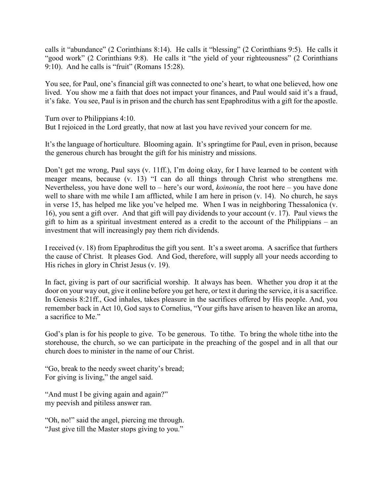calls it "abundance" (2 Corinthians 8:14). He calls it "blessing" (2 Corinthians 9:5). He calls it "good work" (2 Corinthians 9:8). He calls it "the yield of your righteousness" (2 Corinthians 9:10). And he calls is "fruit" (Romans 15:28).

You see, for Paul, one's financial gift was connected to one's heart, to what one believed, how one lived. You show me a faith that does not impact your finances, and Paul would said it's a fraud, it's fake. You see, Paul is in prison and the church has sent Epaphroditus with a gift for the apostle.

Turn over to Philippians 4:10. But I rejoiced in the Lord greatly, that now at last you have revived your concern for me.

It's the language of horticulture. Blooming again. It's springtime for Paul, even in prison, because the generous church has brought the gift for his ministry and missions.

Don't get me wrong, Paul says (v. 11ff.), I'm doing okay, for I have learned to be content with meager means, because (v. 13) "I can do all things through Christ who strengthens me. Nevertheless, you have done well to – here's our word, *koinonia*, the root here – you have done well to share with me while I am afflicted, while I am here in prison (v. 14). No church, he says in verse 15, has helped me like you've helped me. When I was in neighboring Thessalonica (v. 16), you sent a gift over. And that gift will pay dividends to your account (v. 17). Paul views the gift to him as a spiritual investment entered as a credit to the account of the Philippians – an investment that will increasingly pay them rich dividends.

I received (v. 18) from Epaphroditus the gift you sent. It's a sweet aroma. A sacrifice that furthers the cause of Christ. It pleases God. And God, therefore, will supply all your needs according to His riches in glory in Christ Jesus (v. 19).

In fact, giving is part of our sacrificial worship. It always has been. Whether you drop it at the door on your way out, give it online before you get here, or text it during the service, it is a sacrifice. In Genesis 8:21ff., God inhales, takes pleasure in the sacrifices offered by His people. And, you remember back in Act 10, God says to Cornelius, "Your gifts have arisen to heaven like an aroma, a sacrifice to Me."

God's plan is for his people to give. To be generous. To tithe. To bring the whole tithe into the storehouse, the church, so we can participate in the preaching of the gospel and in all that our church does to minister in the name of our Christ.

"Go, break to the needy sweet charity's bread; For giving is living," the angel said.

"And must I be giving again and again?" my peevish and pitiless answer ran.

"Oh, no!" said the angel, piercing me through. "Just give till the Master stops giving to you."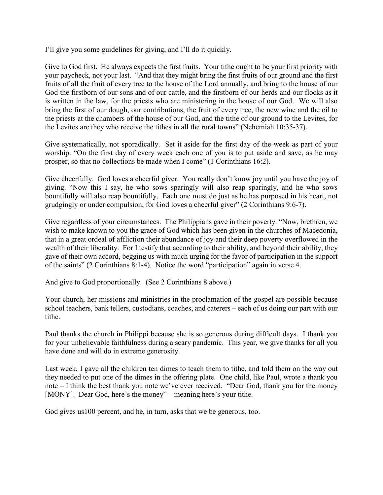I'll give you some guidelines for giving, and I'll do it quickly.

Give to God first. He always expects the first fruits. Your tithe ought to be your first priority with your paycheck, not your last. "And that they might bring the first fruits of our ground and the first fruits of all the fruit of every tree to the house of the Lord annually, and bring to the house of our God the firstborn of our sons and of our cattle, and the firstborn of our herds and our flocks as it is written in the law, for the priests who are ministering in the house of our God. We will also bring the first of our dough, our contributions, the fruit of every tree, the new wine and the oil to the priests at the chambers of the house of our God, and the tithe of our ground to the Levites, for the Levites are they who receive the tithes in all the rural towns" (Nehemiah 10:35-37).

Give systematically, not sporadically. Set it aside for the first day of the week as part of your worship. "On the first day of every week each one of you is to put aside and save, as he may prosper, so that no collections be made when I come" (1 Corinthians 16:2).

Give cheerfully. God loves a cheerful giver. You really don't know joy until you have the joy of giving. "Now this I say, he who sows sparingly will also reap sparingly, and he who sows bountifully will also reap bountifully. Each one must do just as he has purposed in his heart, not grudgingly or under compulsion, for God loves a cheerful giver" (2 Corinthians 9:6-7).

Give regardless of your circumstances. The Philippians gave in their poverty. "Now, brethren, we wish to make known to you the grace of God which has been given in the churches of Macedonia, that in a great ordeal of affliction their abundance of joy and their deep poverty overflowed in the wealth of their liberality. For I testify that according to their ability, and beyond their ability, they gave of their own accord, begging us with much urging for the favor of participation in the support of the saints" (2 Corinthians 8:1-4). Notice the word "participation" again in verse 4.

And give to God proportionally. (See 2 Corinthians 8 above.)

Your church, her missions and ministries in the proclamation of the gospel are possible because school teachers, bank tellers, custodians, coaches, and caterers – each of us doing our part with our tithe.

Paul thanks the church in Philippi because she is so generous during difficult days. I thank you for your unbelievable faithfulness during a scary pandemic. This year, we give thanks for all you have done and will do in extreme generosity.

Last week, I gave all the children ten dimes to teach them to tithe, and told them on the way out they needed to put one of the dimes in the offering plate. One child, like Paul, wrote a thank you note – I think the best thank you note we've ever received. "Dear God, thank you for the money [MONY]. Dear God, here's the money" – meaning here's your tithe.

God gives us100 percent, and he, in turn, asks that we be generous, too.